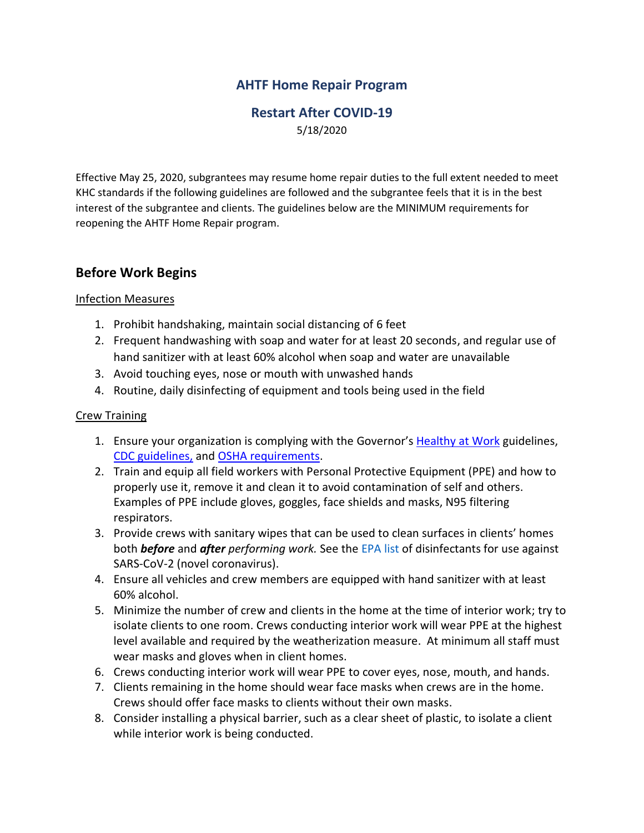## **AHTF Home Repair Program**

### **Restart After COVID-19** 5/18/2020

Effective May 25, 2020, subgrantees may resume home repair duties to the full extent needed to meet KHC standards if the following guidelines are followed and the subgrantee feels that it is in the best interest of the subgrantee and clients. The guidelines below are the MINIMUM requirements for reopening the AHTF Home Repair program.

## **Before Work Begins**

### Infection Measures

- 1. Prohibit handshaking, maintain social distancing of 6 feet
- 2. Frequent handwashing with soap and water for at least 20 seconds, and regular use of hand sanitizer with at least 60% alcohol when soap and water are unavailable
- 3. Avoid touching eyes, nose or mouth with unwashed hands
- 4. Routine, daily disinfecting of equipment and tools being used in the field

#### Crew Training

- 1. Ensure your organization is complying with the Governor's [Healthy at Work](file:///C:/Users/WSMITH/AppData/Local/Microsoft/Windows/INetCache/Content.Outlook/Q4JCB77U/govstatus.egov.com/ky-healthy-at-work) guidelines, [CDC guidelines,](https://www.cdc.gov/coronavirus/2019-ncov/communication/guidance-list.html?Sort=Date%3A%3Adesc) and [OSHA requirements.](https://www.osha.gov/)
- 2. Train and equip all field workers with Personal Protective Equipment (PPE) and how to properly use it, remove it and clean it to avoid contamination of self and others. Examples of PPE include gloves, goggles, face shields and masks, N95 filtering respirators.
- 3. Provide crews with sanitary wipes that can be used to clean surfaces in clients' homes both *before* and *after performing work.* See the EPA list of disinfectants for use against SARS-CoV-2 (novel coronavirus).
- 4. Ensure all vehicles and crew members are equipped with hand sanitizer with at least 60% alcohol.
- 5. Minimize the number of crew and clients in the home at the time of interior work; try to isolate clients to one room. Crews conducting interior work will wear PPE at the highest level available and required by the weatherization measure. At minimum all staff must wear masks and gloves when in client homes.
- 6. Crews conducting interior work will wear PPE to cover eyes, nose, mouth, and hands.
- 7. Clients remaining in the home should wear face masks when crews are in the home. Crews should offer face masks to clients without their own masks.
- 8. Consider installing a physical barrier, such as a clear sheet of plastic, to isolate a client while interior work is being conducted.